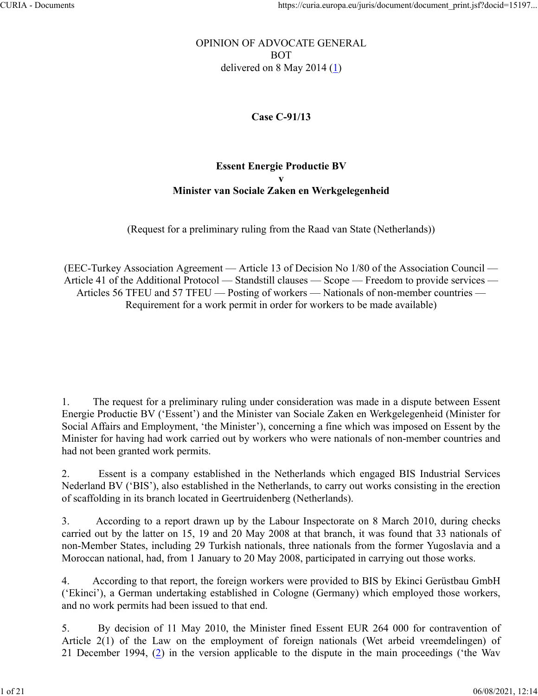### OPINION OF ADVOCATE GENERAL BOT delivered on 8 May 2014 ([1](https://curia.europa.eu/juris/document/document_print.jsf?docid=151973&text=&dir=&doclang=EN&part=1&occ=first&mode=req&pageIndex=1&cid=8221398#Footnote1))

**Case C‑91/13**

## **Essent Energie Productie BV v Minister van Sociale Zaken en Werkgelegenheid**

(Request for a preliminary ruling from the Raad van State (Netherlands))

(EEC-Turkey Association Agreement — Article 13 of Decision No 1/80 of the Association Council — Article 41 of the Additional Protocol — Standstill clauses — Scope — Freedom to provide services — Articles 56 TFEU and 57 TFEU — Posting of workers — Nationals of non-member countries — Requirement for a work permit in order for workers to be made available)

1. The request for a preliminary ruling under consideration was made in a dispute between Essent Energie Productie BV ('Essent') and the Minister van Sociale Zaken en Werkgelegenheid (Minister for Social Affairs and Employment, 'the Minister'), concerning a fine which was imposed on Essent by the Minister for having had work carried out by workers who were nationals of non-member countries and had not been granted work permits.

2. Essent is a company established in the Netherlands which engaged BIS Industrial Services Nederland BV ('BIS'), also established in the Netherlands, to carry out works consisting in the erection of scaffolding in its branch located in Geertruidenberg (Netherlands).

3. According to a report drawn up by the Labour Inspectorate on 8 March 2010, during checks carried out by the latter on 15, 19 and 20 May 2008 at that branch, it was found that 33 nationals of non-Member States, including 29 Turkish nationals, three nationals from the former Yugoslavia and a Moroccan national, had, from 1 January to 20 May 2008, participated in carrying out those works.

4. According to that report, the foreign workers were provided to BIS by Ekinci Gerüstbau GmbH ('Ekinci'), a German undertaking established in Cologne (Germany) which employed those workers, and no work permits had been issued to that end.

5. By decision of 11 May 2010, the Minister fined Essent EUR 264 000 for contravention of Article 2(1) of the Law on the employment of foreign nationals (Wet arbeid vreemdelingen) of 21 December 1994, [\(2\)](https://curia.europa.eu/juris/document/document_print.jsf?docid=151973&text=&dir=&doclang=EN&part=1&occ=first&mode=req&pageIndex=1&cid=8221398#Footnote2) in the version applicable to the dispute in the main proceedings ('the Wav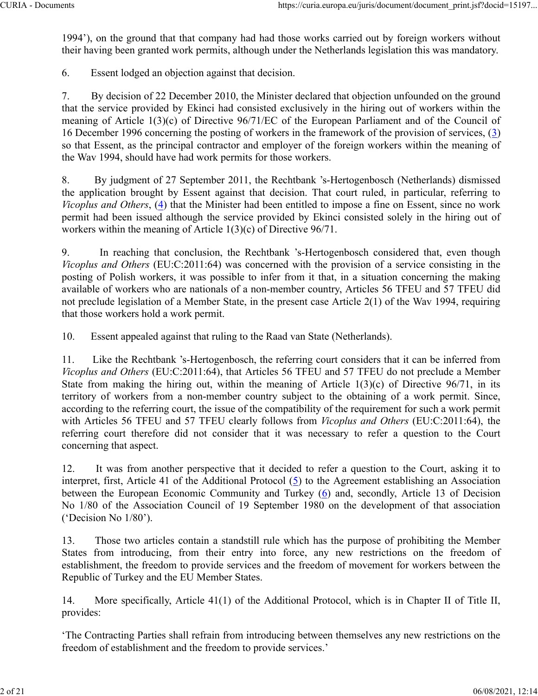1994'), on the ground that that company had had those works carried out by foreign workers without their having been granted work permits, although under the Netherlands legislation this was mandatory.

6. Essent lodged an objection against that decision.

7. By decision of 22 December 2010, the Minister declared that objection unfounded on the ground that the service provided by Ekinci had consisted exclusively in the hiring out of workers within the meaning of Article 1(3)(c) of Directive 96/71/EC of the European Parliament and of the Council of 16 December 1996 concerning the posting of workers in the framework of the provision of services, [\(3\)](https://curia.europa.eu/juris/document/document_print.jsf?docid=151973&text=&dir=&doclang=EN&part=1&occ=first&mode=req&pageIndex=1&cid=8221398#Footnote3) so that Essent, as the principal contractor and employer of the foreign workers within the meaning of the Wav 1994, should have had work permits for those workers.

8. By judgment of 27 September 2011, the Rechtbank 's-Hertogenbosch (Netherlands) dismissed the application brought by Essent against that decision. That court ruled, in particular, referring to *Vicoplus and Others*, ([4\)](https://curia.europa.eu/juris/document/document_print.jsf?docid=151973&text=&dir=&doclang=EN&part=1&occ=first&mode=req&pageIndex=1&cid=8221398#Footnote4) that the Minister had been entitled to impose a fine on Essent, since no work permit had been issued although the service provided by Ekinci consisted solely in the hiring out of workers within the meaning of Article 1(3)(c) of Directive 96/71.

9. In reaching that conclusion, the Rechtbank 's-Hertogenbosch considered that, even though *Vicoplus and Others* (EU:C:2011:64) was concerned with the provision of a service consisting in the posting of Polish workers, it was possible to infer from it that, in a situation concerning the making available of workers who are nationals of a non-member country, Articles 56 TFEU and 57 TFEU did not preclude legislation of a Member State, in the present case Article 2(1) of the Wav 1994, requiring that those workers hold a work permit.

10. Essent appealed against that ruling to the Raad van State (Netherlands).

11. Like the Rechtbank 's-Hertogenbosch, the referring court considers that it can be inferred from *Vicoplus and Others* (EU:C:2011:64), that Articles 56 TFEU and 57 TFEU do not preclude a Member State from making the hiring out, within the meaning of Article 1(3)(c) of Directive 96/71, in its territory of workers from a non-member country subject to the obtaining of a work permit. Since, according to the referring court, the issue of the compatibility of the requirement for such a work permit with Articles 56 TFEU and 57 TFEU clearly follows from *Vicoplus and Others* (EU:C:2011:64), the referring court therefore did not consider that it was necessary to refer a question to the Court concerning that aspect.

12. It was from another perspective that it decided to refer a question to the Court, asking it to interpret, first, Article 41 of the Additional Protocol [\(5\)](https://curia.europa.eu/juris/document/document_print.jsf?docid=151973&text=&dir=&doclang=EN&part=1&occ=first&mode=req&pageIndex=1&cid=8221398#Footnote5) to the Agreement establishing an Association between the European Economic Community and Turkey [\(6\)](https://curia.europa.eu/juris/document/document_print.jsf?docid=151973&text=&dir=&doclang=EN&part=1&occ=first&mode=req&pageIndex=1&cid=8221398#Footnote6) and, secondly, Article 13 of Decision No 1/80 of the Association Council of 19 September 1980 on the development of that association ('Decision No 1/80').

13. Those two articles contain a standstill rule which has the purpose of prohibiting the Member States from introducing, from their entry into force, any new restrictions on the freedom of establishment, the freedom to provide services and the freedom of movement for workers between the Republic of Turkey and the EU Member States.

14. More specifically, Article 41(1) of the Additional Protocol, which is in Chapter II of Title II, provides:

'The Contracting Parties shall refrain from introducing between themselves any new restrictions on the freedom of establishment and the freedom to provide services.'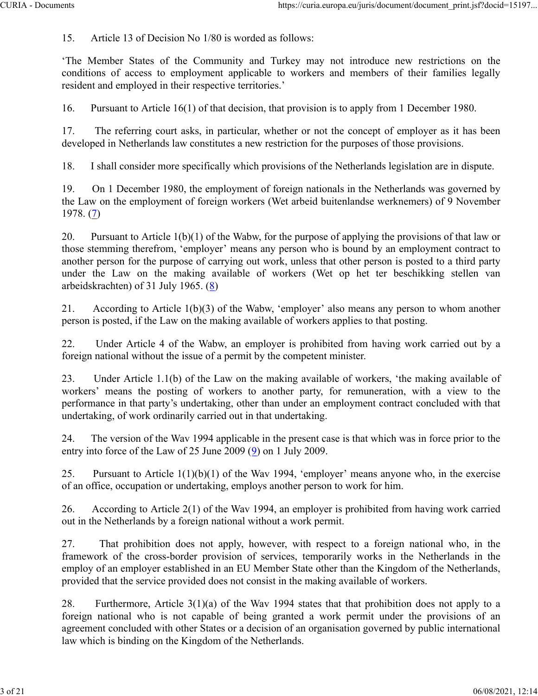15. Article 13 of Decision No 1/80 is worded as follows:

'The Member States of the Community and Turkey may not introduce new restrictions on the conditions of access to employment applicable to workers and members of their families legally resident and employed in their respective territories.'

16. Pursuant to Article 16(1) of that decision, that provision is to apply from 1 December 1980.

17. The referring court asks, in particular, whether or not the concept of employer as it has been developed in Netherlands law constitutes a new restriction for the purposes of those provisions.

18. I shall consider more specifically which provisions of the Netherlands legislation are in dispute.

19. On 1 December 1980, the employment of foreign nationals in the Netherlands was governed by the Law on the employment of foreign workers (Wet arbeid buitenlandse werknemers) of 9 November 1978. [\(7\)](https://curia.europa.eu/juris/document/document_print.jsf?docid=151973&text=&dir=&doclang=EN&part=1&occ=first&mode=req&pageIndex=1&cid=8221398#Footnote7)

20. Pursuant to Article 1(b)(1) of the Wabw, for the purpose of applying the provisions of that law or those stemming therefrom, 'employer' means any person who is bound by an employment contract to another person for the purpose of carrying out work, unless that other person is posted to a third party under the Law on the making available of workers (Wet op het ter beschikking stellen van arbeidskrachten) of 31 July 1965. [\(8\)](https://curia.europa.eu/juris/document/document_print.jsf?docid=151973&text=&dir=&doclang=EN&part=1&occ=first&mode=req&pageIndex=1&cid=8221398#Footnote8)

21. According to Article 1(b)(3) of the Wabw, 'employer' also means any person to whom another person is posted, if the Law on the making available of workers applies to that posting.

22. Under Article 4 of the Wabw, an employer is prohibited from having work carried out by a foreign national without the issue of a permit by the competent minister.

23. Under Article 1.1(b) of the Law on the making available of workers, 'the making available of workers' means the posting of workers to another party, for remuneration, with a view to the performance in that party's undertaking, other than under an employment contract concluded with that undertaking, of work ordinarily carried out in that undertaking.

24. The version of the Wav 1994 applicable in the present case is that which was in force prior to the entry into force of the Law of 25 June 2009 [\(9\)](https://curia.europa.eu/juris/document/document_print.jsf?docid=151973&text=&dir=&doclang=EN&part=1&occ=first&mode=req&pageIndex=1&cid=8221398#Footnote9) on 1 July 2009.

25. Pursuant to Article 1(1)(b)(1) of the Wav 1994, 'employer' means anyone who, in the exercise of an office, occupation or undertaking, employs another person to work for him.

26. According to Article 2(1) of the Wav 1994, an employer is prohibited from having work carried out in the Netherlands by a foreign national without a work permit.

27. That prohibition does not apply, however, with respect to a foreign national who, in the framework of the cross-border provision of services, temporarily works in the Netherlands in the employ of an employer established in an EU Member State other than the Kingdom of the Netherlands, provided that the service provided does not consist in the making available of workers.

28. Furthermore, Article 3(1)(a) of the Wav 1994 states that that prohibition does not apply to a foreign national who is not capable of being granted a work permit under the provisions of an agreement concluded with other States or a decision of an organisation governed by public international law which is binding on the Kingdom of the Netherlands.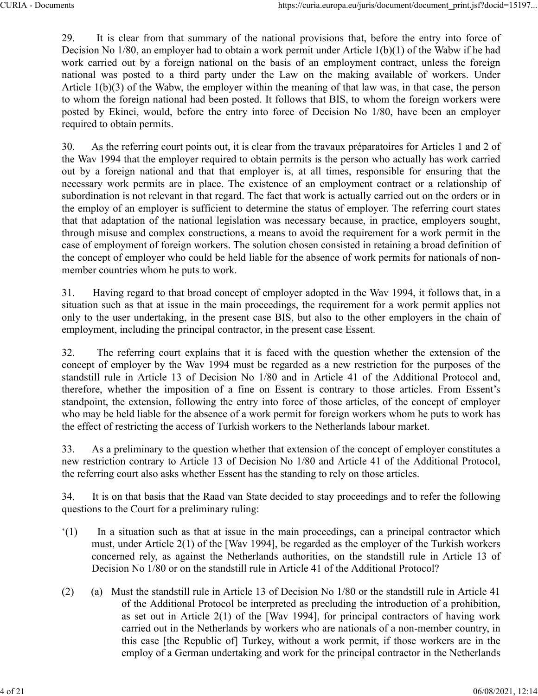29. It is clear from that summary of the national provisions that, before the entry into force of Decision No 1/80, an employer had to obtain a work permit under Article 1(b)(1) of the Wabw if he had work carried out by a foreign national on the basis of an employment contract, unless the foreign national was posted to a third party under the Law on the making available of workers. Under Article 1(b)(3) of the Wabw, the employer within the meaning of that law was, in that case, the person to whom the foreign national had been posted. It follows that BIS, to whom the foreign workers were posted by Ekinci, would, before the entry into force of Decision No 1/80, have been an employer required to obtain permits.

30. As the referring court points out, it is clear from the travaux préparatoires for Articles 1 and 2 of the Wav 1994 that the employer required to obtain permits is the person who actually has work carried out by a foreign national and that that employer is, at all times, responsible for ensuring that the necessary work permits are in place. The existence of an employment contract or a relationship of subordination is not relevant in that regard. The fact that work is actually carried out on the orders or in the employ of an employer is sufficient to determine the status of employer. The referring court states that that adaptation of the national legislation was necessary because, in practice, employers sought, through misuse and complex constructions, a means to avoid the requirement for a work permit in the case of employment of foreign workers. The solution chosen consisted in retaining a broad definition of the concept of employer who could be held liable for the absence of work permits for nationals of nonmember countries whom he puts to work.

31. Having regard to that broad concept of employer adopted in the Wav 1994, it follows that, in a situation such as that at issue in the main proceedings, the requirement for a work permit applies not only to the user undertaking, in the present case BIS, but also to the other employers in the chain of employment, including the principal contractor, in the present case Essent.

32. The referring court explains that it is faced with the question whether the extension of the concept of employer by the Wav 1994 must be regarded as a new restriction for the purposes of the standstill rule in Article 13 of Decision No 1/80 and in Article 41 of the Additional Protocol and, therefore, whether the imposition of a fine on Essent is contrary to those articles. From Essent's standpoint, the extension, following the entry into force of those articles, of the concept of employer who may be held liable for the absence of a work permit for foreign workers whom he puts to work has the effect of restricting the access of Turkish workers to the Netherlands labour market.

33. As a preliminary to the question whether that extension of the concept of employer constitutes a new restriction contrary to Article 13 of Decision No 1/80 and Article 41 of the Additional Protocol, the referring court also asks whether Essent has the standing to rely on those articles.

34. It is on that basis that the Raad van State decided to stay proceedings and to refer the following questions to the Court for a preliminary ruling:

- '(1) In a situation such as that at issue in the main proceedings, can a principal contractor which must, under Article 2(1) of the [Wav 1994], be regarded as the employer of the Turkish workers concerned rely, as against the Netherlands authorities, on the standstill rule in Article 13 of Decision No 1/80 or on the standstill rule in Article 41 of the Additional Protocol?
- (2) (a) Must the standstill rule in Article 13 of Decision No 1/80 or the standstill rule in Article 41 of the Additional Protocol be interpreted as precluding the introduction of a prohibition, as set out in Article 2(1) of the [Wav 1994], for principal contractors of having work carried out in the Netherlands by workers who are nationals of a non-member country, in this case [the Republic of] Turkey, without a work permit, if those workers are in the employ of a German undertaking and work for the principal contractor in the Netherlands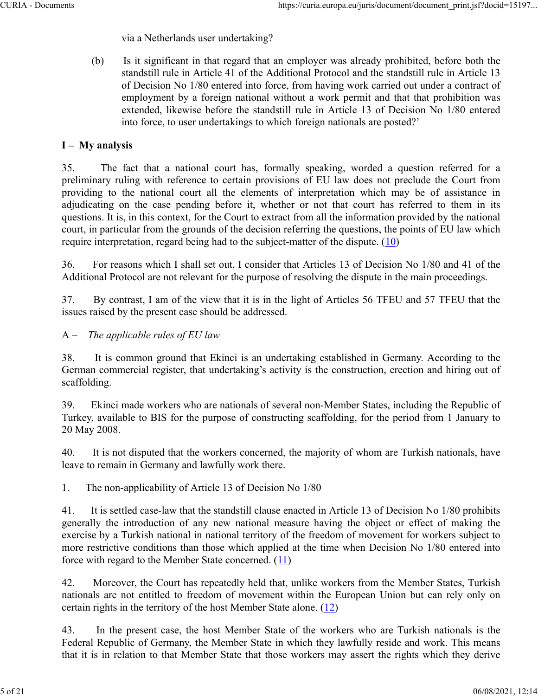via a Netherlands user undertaking?

(b) Is it significant in that regard that an employer was already prohibited, before both the standstill rule in Article 41 of the Additional Protocol and the standstill rule in Article 13 of Decision No 1/80 entered into force, from having work carried out under a contract of employment by a foreign national without a work permit and that that prohibition was extended, likewise before the standstill rule in Article 13 of Decision No 1/80 entered into force, to user undertakings to which foreign nationals are posted?'

#### **I – My analysis**

35. The fact that a national court has, formally speaking, worded a question referred for a preliminary ruling with reference to certain provisions of EU law does not preclude the Court from providing to the national court all the elements of interpretation which may be of assistance in adjudicating on the case pending before it, whether or not that court has referred to them in its questions. It is, in this context, for the Court to extract from all the information provided by the national court, in particular from the grounds of the decision referring the questions, the points of EU law which require interpretation, regard being had to the subject-matter of the dispute. [\(10\)](https://curia.europa.eu/juris/document/document_print.jsf?docid=151973&text=&dir=&doclang=EN&part=1&occ=first&mode=req&pageIndex=1&cid=8221398#Footnote10)

36. For reasons which I shall set out, I consider that Articles 13 of Decision No 1/80 and 41 of the Additional Protocol are not relevant for the purpose of resolving the dispute in the main proceedings.

37. By contrast, I am of the view that it is in the light of Articles 56 TFEU and 57 TFEU that the issues raised by the present case should be addressed.

A – *The applicable rules of EU law*

38. It is common ground that Ekinci is an undertaking established in Germany. According to the German commercial register, that undertaking's activity is the construction, erection and hiring out of scaffolding.

39. Ekinci made workers who are nationals of several non-Member States, including the Republic of Turkey, available to BIS for the purpose of constructing scaffolding, for the period from 1 January to 20 May 2008.

40. It is not disputed that the workers concerned, the majority of whom are Turkish nationals, have leave to remain in Germany and lawfully work there.

1. The non-applicability of Article 13 of Decision No 1/80

41. It is settled case-law that the standstill clause enacted in Article 13 of Decision No 1/80 prohibits generally the introduction of any new national measure having the object or effect of making the exercise by a Turkish national in national territory of the freedom of movement for workers subject to more restrictive conditions than those which applied at the time when Decision No 1/80 entered into force with regard to the Member State concerned. [\(11\)](https://curia.europa.eu/juris/document/document_print.jsf?docid=151973&text=&dir=&doclang=EN&part=1&occ=first&mode=req&pageIndex=1&cid=8221398#Footnote11)

42. Moreover, the Court has repeatedly held that, unlike workers from the Member States, Turkish nationals are not entitled to freedom of movement within the European Union but can rely only on certain rights in the territory of the host Member State alone.  $(12)$  $(12)$ 

43. In the present case, the host Member State of the workers who are Turkish nationals is the Federal Republic of Germany, the Member State in which they lawfully reside and work. This means that it is in relation to that Member State that those workers may assert the rights which they derive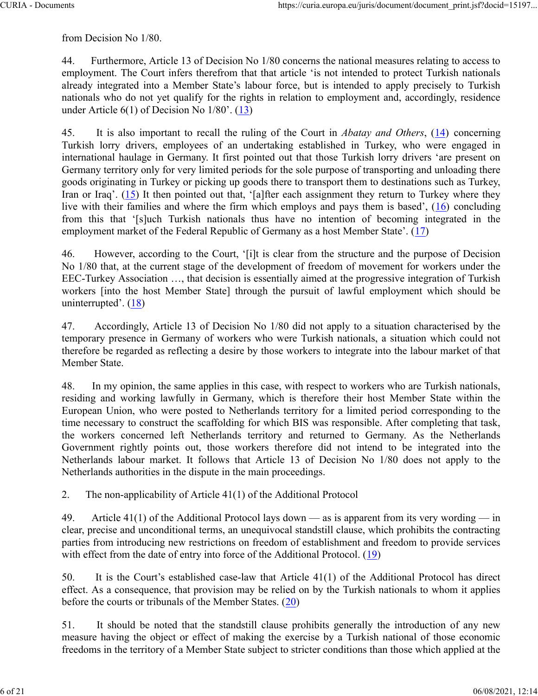from Decision No 1/80.

44. Furthermore, Article 13 of Decision No 1/80 concerns the national measures relating to access to employment. The Court infers therefrom that that article 'is not intended to protect Turkish nationals already integrated into a Member State's labour force, but is intended to apply precisely to Turkish nationals who do not yet qualify for the rights in relation to employment and, accordingly, residence under Article 6(1) of Decision No 1/80'. [\(13\)](https://curia.europa.eu/juris/document/document_print.jsf?docid=151973&text=&dir=&doclang=EN&part=1&occ=first&mode=req&pageIndex=1&cid=8221398#Footnote13)

45. It is also important to recall the ruling of the Court in *Abatay and Others*, ([14\)](https://curia.europa.eu/juris/document/document_print.jsf?docid=151973&text=&dir=&doclang=EN&part=1&occ=first&mode=req&pageIndex=1&cid=8221398#Footnote14) concerning Turkish lorry drivers, employees of an undertaking established in Turkey, who were engaged in international haulage in Germany. It first pointed out that those Turkish lorry drivers 'are present on Germany territory only for very limited periods for the sole purpose of transporting and unloading there goods originating in Turkey or picking up goods there to transport them to destinations such as Turkey, Iran or Iraq'. [\(15\)](https://curia.europa.eu/juris/document/document_print.jsf?docid=151973&text=&dir=&doclang=EN&part=1&occ=first&mode=req&pageIndex=1&cid=8221398#Footnote15) It then pointed out that, '[a]fter each assignment they return to Turkey where they live with their families and where the firm which employs and pays them is based', [\(16\)](https://curia.europa.eu/juris/document/document_print.jsf?docid=151973&text=&dir=&doclang=EN&part=1&occ=first&mode=req&pageIndex=1&cid=8221398#Footnote16) concluding from this that '[s]uch Turkish nationals thus have no intention of becoming integrated in the employment market of the Federal Republic of Germany as a host Member State'. ([17\)](https://curia.europa.eu/juris/document/document_print.jsf?docid=151973&text=&dir=&doclang=EN&part=1&occ=first&mode=req&pageIndex=1&cid=8221398#Footnote17)

46. However, according to the Court, '[i]t is clear from the structure and the purpose of Decision No 1/80 that, at the current stage of the development of freedom of movement for workers under the EEC-Turkey Association …, that decision is essentially aimed at the progressive integration of Turkish workers [into the host Member State] through the pursuit of lawful employment which should be uninterrupted'. ([18\)](https://curia.europa.eu/juris/document/document_print.jsf?docid=151973&text=&dir=&doclang=EN&part=1&occ=first&mode=req&pageIndex=1&cid=8221398#Footnote18)

47. Accordingly, Article 13 of Decision No 1/80 did not apply to a situation characterised by the temporary presence in Germany of workers who were Turkish nationals, a situation which could not therefore be regarded as reflecting a desire by those workers to integrate into the labour market of that Member State.

48. In my opinion, the same applies in this case, with respect to workers who are Turkish nationals, residing and working lawfully in Germany, which is therefore their host Member State within the European Union, who were posted to Netherlands territory for a limited period corresponding to the time necessary to construct the scaffolding for which BIS was responsible. After completing that task, the workers concerned left Netherlands territory and returned to Germany. As the Netherlands Government rightly points out, those workers therefore did not intend to be integrated into the Netherlands labour market. It follows that Article 13 of Decision No 1/80 does not apply to the Netherlands authorities in the dispute in the main proceedings.

2. The non-applicability of Article 41(1) of the Additional Protocol

49. Article 41(1) of the Additional Protocol lays down — as is apparent from its very wording — in clear, precise and unconditional terms, an unequivocal standstill clause, which prohibits the contracting parties from introducing new restrictions on freedom of establishment and freedom to provide services with effect from the date of entry into force of the Additional Protocol.  $(19)$ 

50. It is the Court's established case-law that Article 41(1) of the Additional Protocol has direct effect. As a consequence, that provision may be relied on by the Turkish nationals to whom it applies before the courts or tribunals of the Member States. ([20\)](https://curia.europa.eu/juris/document/document_print.jsf?docid=151973&text=&dir=&doclang=EN&part=1&occ=first&mode=req&pageIndex=1&cid=8221398#Footnote20)

51. It should be noted that the standstill clause prohibits generally the introduction of any new measure having the object or effect of making the exercise by a Turkish national of those economic freedoms in the territory of a Member State subject to stricter conditions than those which applied at the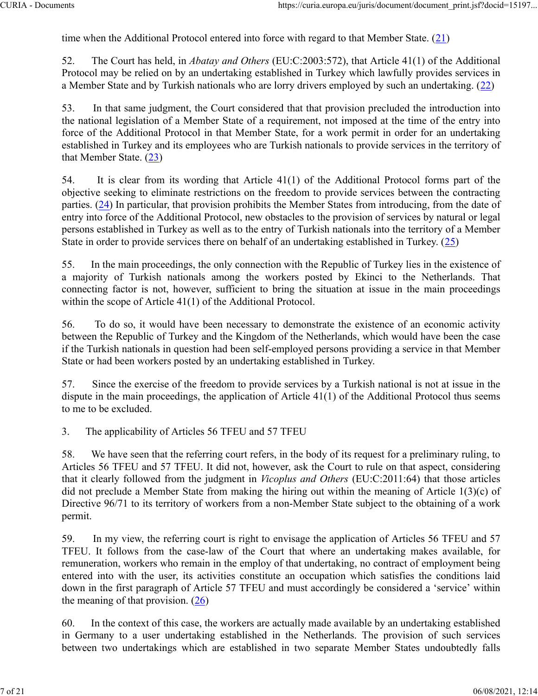time when the Additional Protocol entered into force with regard to that Member State.  $(21)$ 

52. The Court has held, in *Abatay and Others* (EU:C:2003:572), that Article 41(1) of the Additional Protocol may be relied on by an undertaking established in Turkey which lawfully provides services in a Member State and by Turkish nationals who are lorry drivers employed by such an undertaking. [\(22\)](https://curia.europa.eu/juris/document/document_print.jsf?docid=151973&text=&dir=&doclang=EN&part=1&occ=first&mode=req&pageIndex=1&cid=8221398#Footnote22)

53. In that same judgment, the Court considered that that provision precluded the introduction into the national legislation of a Member State of a requirement, not imposed at the time of the entry into force of the Additional Protocol in that Member State, for a work permit in order for an undertaking established in Turkey and its employees who are Turkish nationals to provide services in the territory of that Member State. ([23\)](https://curia.europa.eu/juris/document/document_print.jsf?docid=151973&text=&dir=&doclang=EN&part=1&occ=first&mode=req&pageIndex=1&cid=8221398#Footnote23)

54. It is clear from its wording that Article 41(1) of the Additional Protocol forms part of the objective seeking to eliminate restrictions on the freedom to provide services between the contracting parties. [\(24\)](https://curia.europa.eu/juris/document/document_print.jsf?docid=151973&text=&dir=&doclang=EN&part=1&occ=first&mode=req&pageIndex=1&cid=8221398#Footnote24) In particular, that provision prohibits the Member States from introducing, from the date of entry into force of the Additional Protocol, new obstacles to the provision of services by natural or legal persons established in Turkey as well as to the entry of Turkish nationals into the territory of a Member State in order to provide services there on behalf of an undertaking established in Turkey. [\(25\)](https://curia.europa.eu/juris/document/document_print.jsf?docid=151973&text=&dir=&doclang=EN&part=1&occ=first&mode=req&pageIndex=1&cid=8221398#Footnote25)

55. In the main proceedings, the only connection with the Republic of Turkey lies in the existence of a majority of Turkish nationals among the workers posted by Ekinci to the Netherlands. That connecting factor is not, however, sufficient to bring the situation at issue in the main proceedings within the scope of Article 41(1) of the Additional Protocol.

56. To do so, it would have been necessary to demonstrate the existence of an economic activity between the Republic of Turkey and the Kingdom of the Netherlands, which would have been the case if the Turkish nationals in question had been self-employed persons providing a service in that Member State or had been workers posted by an undertaking established in Turkey.

57. Since the exercise of the freedom to provide services by a Turkish national is not at issue in the dispute in the main proceedings, the application of Article 41(1) of the Additional Protocol thus seems to me to be excluded.

3. The applicability of Articles 56 TFEU and 57 TFEU

58. We have seen that the referring court refers, in the body of its request for a preliminary ruling, to Articles 56 TFEU and 57 TFEU. It did not, however, ask the Court to rule on that aspect, considering that it clearly followed from the judgment in *Vicoplus and Others* (EU:C:2011:64) that those articles did not preclude a Member State from making the hiring out within the meaning of Article 1(3)(c) of Directive 96/71 to its territory of workers from a non-Member State subject to the obtaining of a work permit.

59. In my view, the referring court is right to envisage the application of Articles 56 TFEU and 57 TFEU. It follows from the case-law of the Court that where an undertaking makes available, for remuneration, workers who remain in the employ of that undertaking, no contract of employment being entered into with the user, its activities constitute an occupation which satisfies the conditions laid down in the first paragraph of Article 57 TFEU and must accordingly be considered a 'service' within the meaning of that provision. [\(26\)](https://curia.europa.eu/juris/document/document_print.jsf?docid=151973&text=&dir=&doclang=EN&part=1&occ=first&mode=req&pageIndex=1&cid=8221398#Footnote26)

60. In the context of this case, the workers are actually made available by an undertaking established in Germany to a user undertaking established in the Netherlands. The provision of such services between two undertakings which are established in two separate Member States undoubtedly falls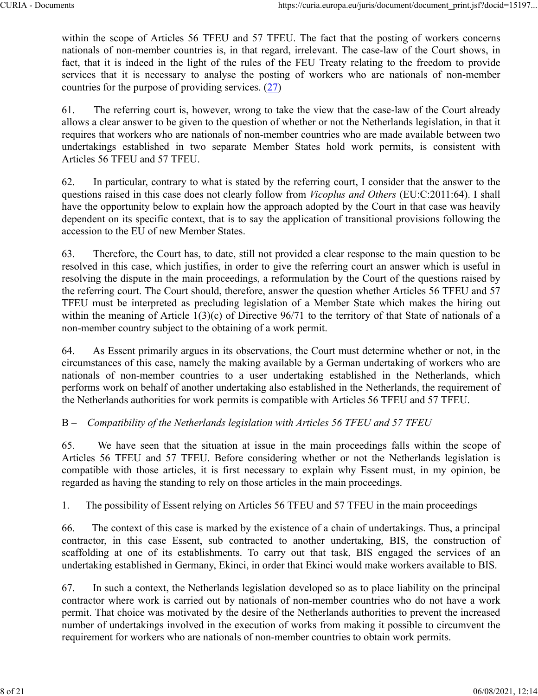within the scope of Articles 56 TFEU and 57 TFEU. The fact that the posting of workers concerns nationals of non-member countries is, in that regard, irrelevant. The case-law of the Court shows, in fact, that it is indeed in the light of the rules of the FEU Treaty relating to the freedom to provide services that it is necessary to analyse the posting of workers who are nationals of non-member countries for the purpose of providing services. [\(27\)](https://curia.europa.eu/juris/document/document_print.jsf?docid=151973&text=&dir=&doclang=EN&part=1&occ=first&mode=req&pageIndex=1&cid=8221398#Footnote27)

61. The referring court is, however, wrong to take the view that the case-law of the Court already allows a clear answer to be given to the question of whether or not the Netherlands legislation, in that it requires that workers who are nationals of non-member countries who are made available between two undertakings established in two separate Member States hold work permits, is consistent with Articles 56 TFEU and 57 TFEU.

62. In particular, contrary to what is stated by the referring court, I consider that the answer to the questions raised in this case does not clearly follow from *Vicoplus and Others* (EU:C:2011:64). I shall have the opportunity below to explain how the approach adopted by the Court in that case was heavily dependent on its specific context, that is to say the application of transitional provisions following the accession to the EU of new Member States.

63. Therefore, the Court has, to date, still not provided a clear response to the main question to be resolved in this case, which justifies, in order to give the referring court an answer which is useful in resolving the dispute in the main proceedings, a reformulation by the Court of the questions raised by the referring court. The Court should, therefore, answer the question whether Articles 56 TFEU and 57 TFEU must be interpreted as precluding legislation of a Member State which makes the hiring out within the meaning of Article 1(3)(c) of Directive 96/71 to the territory of that State of nationals of a non-member country subject to the obtaining of a work permit.

64. As Essent primarily argues in its observations, the Court must determine whether or not, in the circumstances of this case, namely the making available by a German undertaking of workers who are nationals of non-member countries to a user undertaking established in the Netherlands, which performs work on behalf of another undertaking also established in the Netherlands, the requirement of the Netherlands authorities for work permits is compatible with Articles 56 TFEU and 57 TFEU.

#### B – *Compatibility of the Netherlands legislation with Articles 56 TFEU and 57 TFEU*

65. We have seen that the situation at issue in the main proceedings falls within the scope of Articles 56 TFEU and 57 TFEU. Before considering whether or not the Netherlands legislation is compatible with those articles, it is first necessary to explain why Essent must, in my opinion, be regarded as having the standing to rely on those articles in the main proceedings.

1. The possibility of Essent relying on Articles 56 TFEU and 57 TFEU in the main proceedings

66. The context of this case is marked by the existence of a chain of undertakings. Thus, a principal contractor, in this case Essent, sub contracted to another undertaking, BIS, the construction of scaffolding at one of its establishments. To carry out that task, BIS engaged the services of an undertaking established in Germany, Ekinci, in order that Ekinci would make workers available to BIS.

67. In such a context, the Netherlands legislation developed so as to place liability on the principal contractor where work is carried out by nationals of non-member countries who do not have a work permit. That choice was motivated by the desire of the Netherlands authorities to prevent the increased number of undertakings involved in the execution of works from making it possible to circumvent the requirement for workers who are nationals of non-member countries to obtain work permits.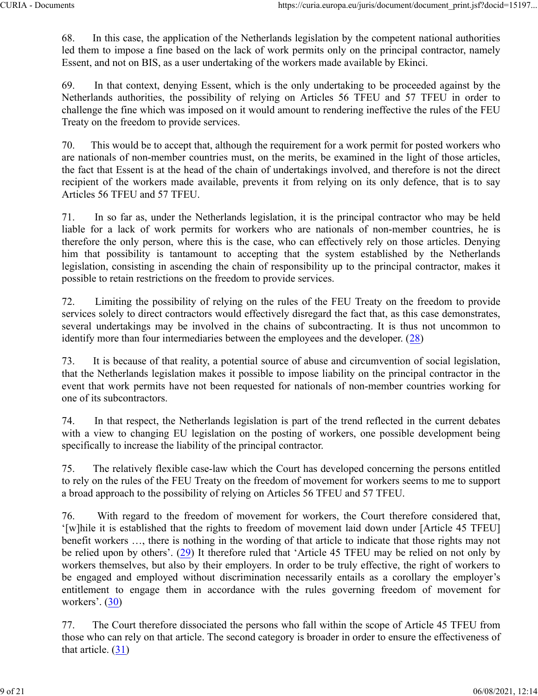68. In this case, the application of the Netherlands legislation by the competent national authorities led them to impose a fine based on the lack of work permits only on the principal contractor, namely Essent, and not on BIS, as a user undertaking of the workers made available by Ekinci.

69. In that context, denying Essent, which is the only undertaking to be proceeded against by the Netherlands authorities, the possibility of relying on Articles 56 TFEU and 57 TFEU in order to challenge the fine which was imposed on it would amount to rendering ineffective the rules of the FEU Treaty on the freedom to provide services.

70. This would be to accept that, although the requirement for a work permit for posted workers who are nationals of non-member countries must, on the merits, be examined in the light of those articles, the fact that Essent is at the head of the chain of undertakings involved, and therefore is not the direct recipient of the workers made available, prevents it from relying on its only defence, that is to say Articles 56 TFEU and 57 TFEU.

71. In so far as, under the Netherlands legislation, it is the principal contractor who may be held liable for a lack of work permits for workers who are nationals of non-member countries, he is therefore the only person, where this is the case, who can effectively rely on those articles. Denying him that possibility is tantamount to accepting that the system established by the Netherlands legislation, consisting in ascending the chain of responsibility up to the principal contractor, makes it possible to retain restrictions on the freedom to provide services.

72. Limiting the possibility of relying on the rules of the FEU Treaty on the freedom to provide services solely to direct contractors would effectively disregard the fact that, as this case demonstrates, several undertakings may be involved in the chains of subcontracting. It is thus not uncommon to identify more than four intermediaries between the employees and the developer. ([28\)](https://curia.europa.eu/juris/document/document_print.jsf?docid=151973&text=&dir=&doclang=EN&part=1&occ=first&mode=req&pageIndex=1&cid=8221398#Footnote28)

73. It is because of that reality, a potential source of abuse and circumvention of social legislation, that the Netherlands legislation makes it possible to impose liability on the principal contractor in the event that work permits have not been requested for nationals of non-member countries working for one of its subcontractors.

74. In that respect, the Netherlands legislation is part of the trend reflected in the current debates with a view to changing EU legislation on the posting of workers, one possible development being specifically to increase the liability of the principal contractor.

75. The relatively flexible case-law which the Court has developed concerning the persons entitled to rely on the rules of the FEU Treaty on the freedom of movement for workers seems to me to support a broad approach to the possibility of relying on Articles 56 TFEU and 57 TFEU.

76. With regard to the freedom of movement for workers, the Court therefore considered that, '[w]hile it is established that the rights to freedom of movement laid down under [Article 45 TFEU] benefit workers …, there is nothing in the wording of that article to indicate that those rights may not be relied upon by others'. [\(29\)](https://curia.europa.eu/juris/document/document_print.jsf?docid=151973&text=&dir=&doclang=EN&part=1&occ=first&mode=req&pageIndex=1&cid=8221398#Footnote29) It therefore ruled that 'Article 45 TFEU may be relied on not only by workers themselves, but also by their employers. In order to be truly effective, the right of workers to be engaged and employed without discrimination necessarily entails as a corollary the employer's entitlement to engage them in accordance with the rules governing freedom of movement for workers'. ([30\)](https://curia.europa.eu/juris/document/document_print.jsf?docid=151973&text=&dir=&doclang=EN&part=1&occ=first&mode=req&pageIndex=1&cid=8221398#Footnote30)

77. The Court therefore dissociated the persons who fall within the scope of Article 45 TFEU from those who can rely on that article. The second category is broader in order to ensure the effectiveness of that article. [\(31\)](https://curia.europa.eu/juris/document/document_print.jsf?docid=151973&text=&dir=&doclang=EN&part=1&occ=first&mode=req&pageIndex=1&cid=8221398#Footnote31)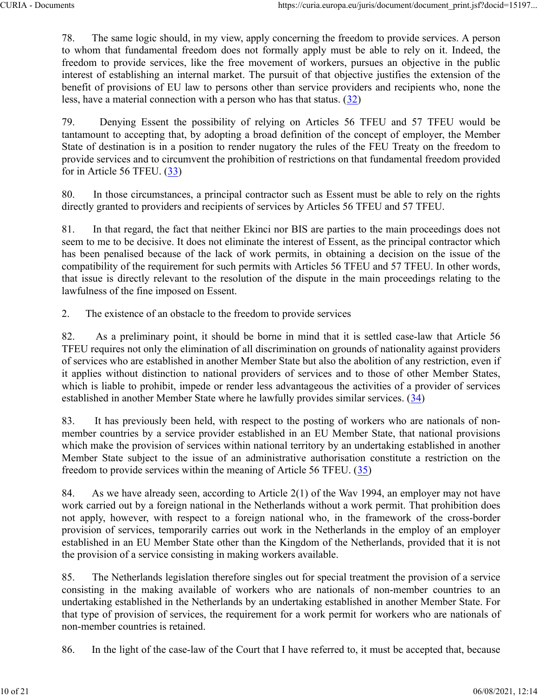78. The same logic should, in my view, apply concerning the freedom to provide services. A person to whom that fundamental freedom does not formally apply must be able to rely on it. Indeed, the freedom to provide services, like the free movement of workers, pursues an objective in the public interest of establishing an internal market. The pursuit of that objective justifies the extension of the benefit of provisions of EU law to persons other than service providers and recipients who, none the less, have a material connection with a person who has that status. [\(32\)](https://curia.europa.eu/juris/document/document_print.jsf?docid=151973&text=&dir=&doclang=EN&part=1&occ=first&mode=req&pageIndex=1&cid=8221398#Footnote32)

79. Denying Essent the possibility of relying on Articles 56 TFEU and 57 TFEU would be tantamount to accepting that, by adopting a broad definition of the concept of employer, the Member State of destination is in a position to render nugatory the rules of the FEU Treaty on the freedom to provide services and to circumvent the prohibition of restrictions on that fundamental freedom provided for in Article 56 TFEU. ([33](https://curia.europa.eu/juris/document/document_print.jsf?docid=151973&text=&dir=&doclang=EN&part=1&occ=first&mode=req&pageIndex=1&cid=8221398#Footnote33))

80. In those circumstances, a principal contractor such as Essent must be able to rely on the rights directly granted to providers and recipients of services by Articles 56 TFEU and 57 TFEU.

81. In that regard, the fact that neither Ekinci nor BIS are parties to the main proceedings does not seem to me to be decisive. It does not eliminate the interest of Essent, as the principal contractor which has been penalised because of the lack of work permits, in obtaining a decision on the issue of the compatibility of the requirement for such permits with Articles 56 TFEU and 57 TFEU. In other words, that issue is directly relevant to the resolution of the dispute in the main proceedings relating to the lawfulness of the fine imposed on Essent.

2. The existence of an obstacle to the freedom to provide services

82. As a preliminary point, it should be borne in mind that it is settled case-law that Article 56 TFEU requires not only the elimination of all discrimination on grounds of nationality against providers of services who are established in another Member State but also the abolition of any restriction, even if it applies without distinction to national providers of services and to those of other Member States, which is liable to prohibit, impede or render less advantageous the activities of a provider of services established in another Member State where he lawfully provides similar services. [\(34\)](https://curia.europa.eu/juris/document/document_print.jsf?docid=151973&text=&dir=&doclang=EN&part=1&occ=first&mode=req&pageIndex=1&cid=8221398#Footnote34)

83. It has previously been held, with respect to the posting of workers who are nationals of nonmember countries by a service provider established in an EU Member State, that national provisions which make the provision of services within national territory by an undertaking established in another Member State subject to the issue of an administrative authorisation constitute a restriction on the freedom to provide services within the meaning of Article 56 TFEU. [\(35\)](https://curia.europa.eu/juris/document/document_print.jsf?docid=151973&text=&dir=&doclang=EN&part=1&occ=first&mode=req&pageIndex=1&cid=8221398#Footnote35)

84. As we have already seen, according to Article 2(1) of the Wav 1994, an employer may not have work carried out by a foreign national in the Netherlands without a work permit. That prohibition does not apply, however, with respect to a foreign national who, in the framework of the cross-border provision of services, temporarily carries out work in the Netherlands in the employ of an employer established in an EU Member State other than the Kingdom of the Netherlands, provided that it is not the provision of a service consisting in making workers available.

85. The Netherlands legislation therefore singles out for special treatment the provision of a service consisting in the making available of workers who are nationals of non-member countries to an undertaking established in the Netherlands by an undertaking established in another Member State. For that type of provision of services, the requirement for a work permit for workers who are nationals of non-member countries is retained.

86. In the light of the case-law of the Court that I have referred to, it must be accepted that, because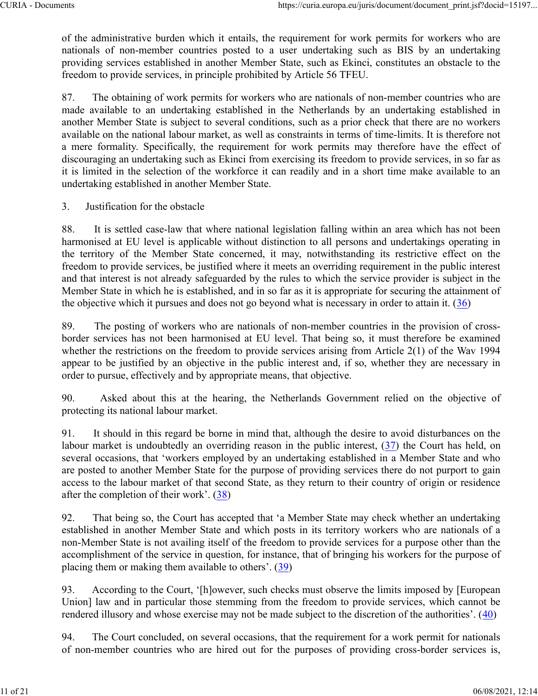of the administrative burden which it entails, the requirement for work permits for workers who are nationals of non-member countries posted to a user undertaking such as BIS by an undertaking providing services established in another Member State, such as Ekinci, constitutes an obstacle to the freedom to provide services, in principle prohibited by Article 56 TFEU.

87. The obtaining of work permits for workers who are nationals of non-member countries who are made available to an undertaking established in the Netherlands by an undertaking established in another Member State is subject to several conditions, such as a prior check that there are no workers available on the national labour market, as well as constraints in terms of time-limits. It is therefore not a mere formality. Specifically, the requirement for work permits may therefore have the effect of discouraging an undertaking such as Ekinci from exercising its freedom to provide services, in so far as it is limited in the selection of the workforce it can readily and in a short time make available to an undertaking established in another Member State.

3. Justification for the obstacle

88. It is settled case-law that where national legislation falling within an area which has not been harmonised at EU level is applicable without distinction to all persons and undertakings operating in the territory of the Member State concerned, it may, notwithstanding its restrictive effect on the freedom to provide services, be justified where it meets an overriding requirement in the public interest and that interest is not already safeguarded by the rules to which the service provider is subject in the Member State in which he is established, and in so far as it is appropriate for securing the attainment of the objective which it pursues and does not go beyond what is necessary in order to attain it.  $(36)$ 

89. The posting of workers who are nationals of non-member countries in the provision of crossborder services has not been harmonised at EU level. That being so, it must therefore be examined whether the restrictions on the freedom to provide services arising from Article 2(1) of the Wav 1994 appear to be justified by an objective in the public interest and, if so, whether they are necessary in order to pursue, effectively and by appropriate means, that objective.

90. Asked about this at the hearing, the Netherlands Government relied on the objective of protecting its national labour market.

91. It should in this regard be borne in mind that, although the desire to avoid disturbances on the labour market is undoubtedly an overriding reason in the public interest, [\(37\)](https://curia.europa.eu/juris/document/document_print.jsf?docid=151973&text=&dir=&doclang=EN&part=1&occ=first&mode=req&pageIndex=1&cid=8221398#Footnote37) the Court has held, on several occasions, that 'workers employed by an undertaking established in a Member State and who are posted to another Member State for the purpose of providing services there do not purport to gain access to the labour market of that second State, as they return to their country of origin or residence after the completion of their work'. [\(38\)](https://curia.europa.eu/juris/document/document_print.jsf?docid=151973&text=&dir=&doclang=EN&part=1&occ=first&mode=req&pageIndex=1&cid=8221398#Footnote38)

92. That being so, the Court has accepted that 'a Member State may check whether an undertaking established in another Member State and which posts in its territory workers who are nationals of a non-Member State is not availing itself of the freedom to provide services for a purpose other than the accomplishment of the service in question, for instance, that of bringing his workers for the purpose of placing them or making them available to others'. [\(39\)](https://curia.europa.eu/juris/document/document_print.jsf?docid=151973&text=&dir=&doclang=EN&part=1&occ=first&mode=req&pageIndex=1&cid=8221398#Footnote39)

93. According to the Court, '[h]owever, such checks must observe the limits imposed by [European Union] law and in particular those stemming from the freedom to provide services, which cannot be rendered illusory and whose exercise may not be made subject to the discretion of the authorities'. ([40\)](https://curia.europa.eu/juris/document/document_print.jsf?docid=151973&text=&dir=&doclang=EN&part=1&occ=first&mode=req&pageIndex=1&cid=8221398#Footnote40)

94. The Court concluded, on several occasions, that the requirement for a work permit for nationals of non-member countries who are hired out for the purposes of providing cross-border services is,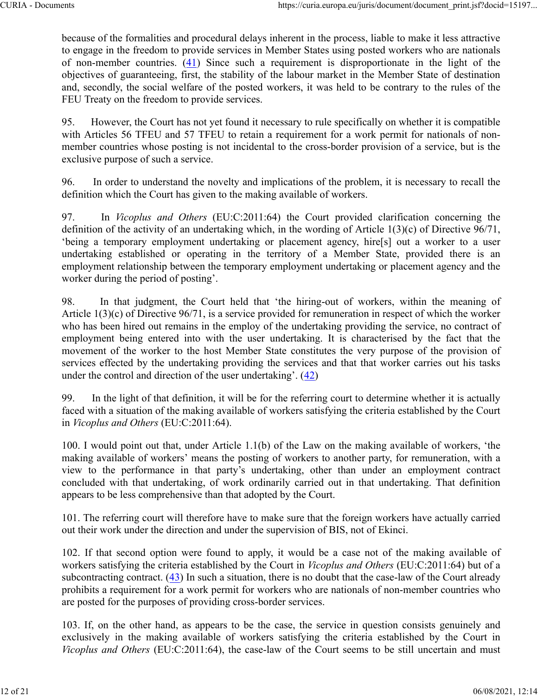because of the formalities and procedural delays inherent in the process, liable to make it less attractive to engage in the freedom to provide services in Member States using posted workers who are nationals of non-member countries. ([41\)](https://curia.europa.eu/juris/document/document_print.jsf?docid=151973&text=&dir=&doclang=EN&part=1&occ=first&mode=req&pageIndex=1&cid=8221398#Footnote41) Since such a requirement is disproportionate in the light of the objectives of guaranteeing, first, the stability of the labour market in the Member State of destination and, secondly, the social welfare of the posted workers, it was held to be contrary to the rules of the FEU Treaty on the freedom to provide services.

95. However, the Court has not yet found it necessary to rule specifically on whether it is compatible with Articles 56 TFEU and 57 TFEU to retain a requirement for a work permit for nationals of nonmember countries whose posting is not incidental to the cross-border provision of a service, but is the exclusive purpose of such a service.

96. In order to understand the novelty and implications of the problem, it is necessary to recall the definition which the Court has given to the making available of workers.

97. In *Vicoplus and Others* (EU:C:2011:64) the Court provided clarification concerning the definition of the activity of an undertaking which, in the wording of Article 1(3)(c) of Directive 96/71, 'being a temporary employment undertaking or placement agency, hire[s] out a worker to a user undertaking established or operating in the territory of a Member State, provided there is an employment relationship between the temporary employment undertaking or placement agency and the worker during the period of posting'.

98. In that judgment, the Court held that 'the hiring-out of workers, within the meaning of Article 1(3)(c) of Directive 96/71, is a service provided for remuneration in respect of which the worker who has been hired out remains in the employ of the undertaking providing the service, no contract of employment being entered into with the user undertaking. It is characterised by the fact that the movement of the worker to the host Member State constitutes the very purpose of the provision of services effected by the undertaking providing the services and that that worker carries out his tasks under the control and direction of the user undertaking'. [\(42\)](https://curia.europa.eu/juris/document/document_print.jsf?docid=151973&text=&dir=&doclang=EN&part=1&occ=first&mode=req&pageIndex=1&cid=8221398#Footnote42)

99. In the light of that definition, it will be for the referring court to determine whether it is actually faced with a situation of the making available of workers satisfying the criteria established by the Court in *Vicoplus and Others* (EU:C:2011:64).

100. I would point out that, under Article 1.1(b) of the Law on the making available of workers, 'the making available of workers' means the posting of workers to another party, for remuneration, with a view to the performance in that party's undertaking, other than under an employment contract concluded with that undertaking, of work ordinarily carried out in that undertaking. That definition appears to be less comprehensive than that adopted by the Court.

101. The referring court will therefore have to make sure that the foreign workers have actually carried out their work under the direction and under the supervision of BIS, not of Ekinci.

102. If that second option were found to apply, it would be a case not of the making available of workers satisfying the criteria established by the Court in *Vicoplus and Others* (EU:C:2011:64) but of a subcontracting contract. [\(43\)](https://curia.europa.eu/juris/document/document_print.jsf?docid=151973&text=&dir=&doclang=EN&part=1&occ=first&mode=req&pageIndex=1&cid=8221398#Footnote43) In such a situation, there is no doubt that the case-law of the Court already prohibits a requirement for a work permit for workers who are nationals of non-member countries who are posted for the purposes of providing cross-border services.

103. If, on the other hand, as appears to be the case, the service in question consists genuinely and exclusively in the making available of workers satisfying the criteria established by the Court in *Vicoplus and Others* (EU:C:2011:64), the case-law of the Court seems to be still uncertain and must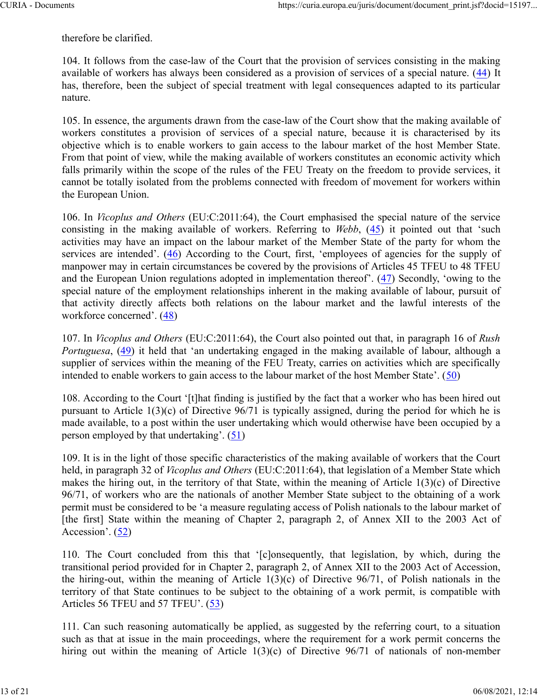therefore be clarified.

104. It follows from the case-law of the Court that the provision of services consisting in the making available of workers has always been considered as a provision of services of a special nature. [\(44\)](https://curia.europa.eu/juris/document/document_print.jsf?docid=151973&text=&dir=&doclang=EN&part=1&occ=first&mode=req&pageIndex=1&cid=8221398#Footnote44) It has, therefore, been the subject of special treatment with legal consequences adapted to its particular nature.

105. In essence, the arguments drawn from the case-law of the Court show that the making available of workers constitutes a provision of services of a special nature, because it is characterised by its objective which is to enable workers to gain access to the labour market of the host Member State. From that point of view, while the making available of workers constitutes an economic activity which falls primarily within the scope of the rules of the FEU Treaty on the freedom to provide services, it cannot be totally isolated from the problems connected with freedom of movement for workers within the European Union.

106. In *Vicoplus and Others* (EU:C:2011:64), the Court emphasised the special nature of the service consisting in the making available of workers. Referring to *Webb*, ([45\)](https://curia.europa.eu/juris/document/document_print.jsf?docid=151973&text=&dir=&doclang=EN&part=1&occ=first&mode=req&pageIndex=1&cid=8221398#Footnote45) it pointed out that 'such activities may have an impact on the labour market of the Member State of the party for whom the services are intended'. [\(46\)](https://curia.europa.eu/juris/document/document_print.jsf?docid=151973&text=&dir=&doclang=EN&part=1&occ=first&mode=req&pageIndex=1&cid=8221398#Footnote46) According to the Court, first, 'employees of agencies for the supply of manpower may in certain circumstances be covered by the provisions of Articles 45 TFEU to 48 TFEU and the European Union regulations adopted in implementation thereof'. [\(47\)](https://curia.europa.eu/juris/document/document_print.jsf?docid=151973&text=&dir=&doclang=EN&part=1&occ=first&mode=req&pageIndex=1&cid=8221398#Footnote47) Secondly, 'owing to the special nature of the employment relationships inherent in the making available of labour, pursuit of that activity directly affects both relations on the labour market and the lawful interests of the workforce concerned'. [\(48\)](https://curia.europa.eu/juris/document/document_print.jsf?docid=151973&text=&dir=&doclang=EN&part=1&occ=first&mode=req&pageIndex=1&cid=8221398#Footnote48)

107. In *Vicoplus and Others* (EU:C:2011:64), the Court also pointed out that, in paragraph 16 of *Rush Portuguesa*, [\(49\)](https://curia.europa.eu/juris/document/document_print.jsf?docid=151973&text=&dir=&doclang=EN&part=1&occ=first&mode=req&pageIndex=1&cid=8221398#Footnote49) it held that 'an undertaking engaged in the making available of labour, although a supplier of services within the meaning of the FEU Treaty, carries on activities which are specifically intended to enable workers to gain access to the labour market of the host Member State'. [\(50\)](https://curia.europa.eu/juris/document/document_print.jsf?docid=151973&text=&dir=&doclang=EN&part=1&occ=first&mode=req&pageIndex=1&cid=8221398#Footnote50)

108. According to the Court '[t]hat finding is justified by the fact that a worker who has been hired out pursuant to Article 1(3)(c) of Directive 96/71 is typically assigned, during the period for which he is made available, to a post within the user undertaking which would otherwise have been occupied by a person employed by that undertaking'. ([51](https://curia.europa.eu/juris/document/document_print.jsf?docid=151973&text=&dir=&doclang=EN&part=1&occ=first&mode=req&pageIndex=1&cid=8221398#Footnote51))

109. It is in the light of those specific characteristics of the making available of workers that the Court held, in paragraph 32 of *Vicoplus and Others* (EU:C:2011:64), that legislation of a Member State which makes the hiring out, in the territory of that State, within the meaning of Article 1(3)(c) of Directive 96/71, of workers who are the nationals of another Member State subject to the obtaining of a work permit must be considered to be 'a measure regulating access of Polish nationals to the labour market of [the first] State within the meaning of Chapter 2, paragraph 2, of Annex XII to the 2003 Act of Accession'. [\(52\)](https://curia.europa.eu/juris/document/document_print.jsf?docid=151973&text=&dir=&doclang=EN&part=1&occ=first&mode=req&pageIndex=1&cid=8221398#Footnote52)

110. The Court concluded from this that '[c]onsequently, that legislation, by which, during the transitional period provided for in Chapter 2, paragraph 2, of Annex XII to the 2003 Act of Accession, the hiring-out, within the meaning of Article 1(3)(c) of Directive 96/71, of Polish nationals in the territory of that State continues to be subject to the obtaining of a work permit, is compatible with Articles 56 TFEU and 57 TFEU'. [\(53\)](https://curia.europa.eu/juris/document/document_print.jsf?docid=151973&text=&dir=&doclang=EN&part=1&occ=first&mode=req&pageIndex=1&cid=8221398#Footnote53)

111. Can such reasoning automatically be applied, as suggested by the referring court, to a situation such as that at issue in the main proceedings, where the requirement for a work permit concerns the hiring out within the meaning of Article 1(3)(c) of Directive 96/71 of nationals of non-member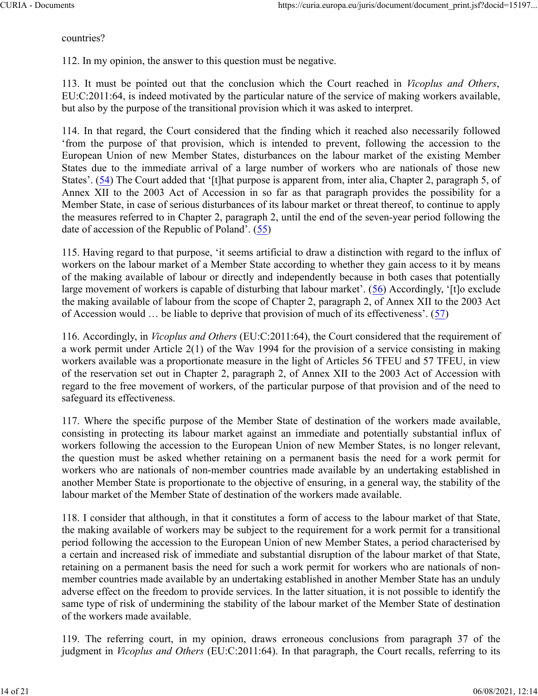countries?

112. In my opinion, the answer to this question must be negative.

113. It must be pointed out that the conclusion which the Court reached in *Vicoplus and Others*, EU:C:2011:64, is indeed motivated by the particular nature of the service of making workers available, but also by the purpose of the transitional provision which it was asked to interpret.

114. In that regard, the Court considered that the finding which it reached also necessarily followed 'from the purpose of that provision, which is intended to prevent, following the accession to the European Union of new Member States, disturbances on the labour market of the existing Member States due to the immediate arrival of a large number of workers who are nationals of those new States'. ([54\)](https://curia.europa.eu/juris/document/document_print.jsf?docid=151973&text=&dir=&doclang=EN&part=1&occ=first&mode=req&pageIndex=1&cid=8221398#Footnote54) The Court added that '[t]hat purpose is apparent from, inter alia, Chapter 2, paragraph 5, of Annex XII to the 2003 Act of Accession in so far as that paragraph provides the possibility for a Member State, in case of serious disturbances of its labour market or threat thereof, to continue to apply the measures referred to in Chapter 2, paragraph 2, until the end of the seven-year period following the date of accession of the Republic of Poland'. [\(55\)](https://curia.europa.eu/juris/document/document_print.jsf?docid=151973&text=&dir=&doclang=EN&part=1&occ=first&mode=req&pageIndex=1&cid=8221398#Footnote55)

115. Having regard to that purpose, 'it seems artificial to draw a distinction with regard to the influx of workers on the labour market of a Member State according to whether they gain access to it by means of the making available of labour or directly and independently because in both cases that potentially large movement of workers is capable of disturbing that labour market'. [\(56\)](https://curia.europa.eu/juris/document/document_print.jsf?docid=151973&text=&dir=&doclang=EN&part=1&occ=first&mode=req&pageIndex=1&cid=8221398#Footnote56) Accordingly, '[t]o exclude the making available of labour from the scope of Chapter 2, paragraph 2, of Annex XII to the 2003 Act of Accession would  $\ldots$  be liable to deprive that provision of much of its effectiveness'. [\(57\)](https://curia.europa.eu/juris/document/document_print.jsf?docid=151973&text=&dir=&doclang=EN&part=1&occ=first&mode=req&pageIndex=1&cid=8221398#Footnote57)

116. Accordingly, in *Vicoplus and Others* (EU:C:2011:64), the Court considered that the requirement of a work permit under Article 2(1) of the Wav 1994 for the provision of a service consisting in making workers available was a proportionate measure in the light of Articles 56 TFEU and 57 TFEU, in view of the reservation set out in Chapter 2, paragraph 2, of Annex XII to the 2003 Act of Accession with regard to the free movement of workers, of the particular purpose of that provision and of the need to safeguard its effectiveness.

117. Where the specific purpose of the Member State of destination of the workers made available, consisting in protecting its labour market against an immediate and potentially substantial influx of workers following the accession to the European Union of new Member States, is no longer relevant, the question must be asked whether retaining on a permanent basis the need for a work permit for workers who are nationals of non-member countries made available by an undertaking established in another Member State is proportionate to the objective of ensuring, in a general way, the stability of the labour market of the Member State of destination of the workers made available.

118. I consider that although, in that it constitutes a form of access to the labour market of that State, the making available of workers may be subject to the requirement for a work permit for a transitional period following the accession to the European Union of new Member States, a period characterised by a certain and increased risk of immediate and substantial disruption of the labour market of that State, retaining on a permanent basis the need for such a work permit for workers who are nationals of nonmember countries made available by an undertaking established in another Member State has an unduly adverse effect on the freedom to provide services. In the latter situation, it is not possible to identify the same type of risk of undermining the stability of the labour market of the Member State of destination of the workers made available.

119. The referring court, in my opinion, draws erroneous conclusions from paragraph 37 of the judgment in *Vicoplus and Others* (EU:C:2011:64). In that paragraph, the Court recalls, referring to its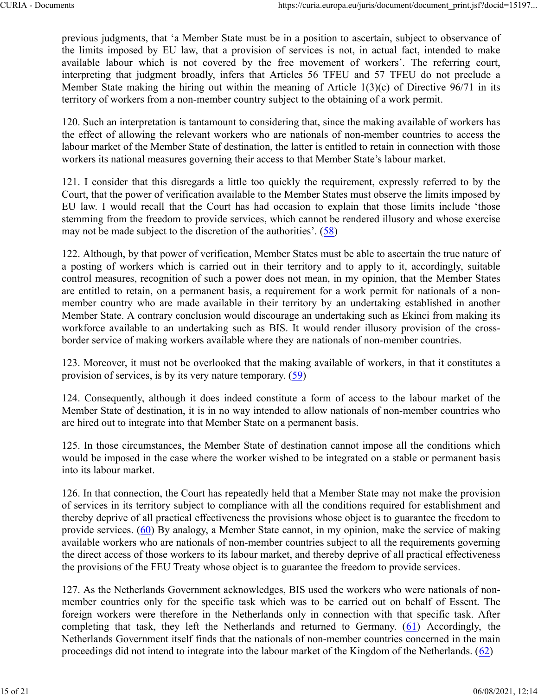previous judgments, that 'a Member State must be in a position to ascertain, subject to observance of the limits imposed by EU law, that a provision of services is not, in actual fact, intended to make available labour which is not covered by the free movement of workers'. The referring court, interpreting that judgment broadly, infers that Articles 56 TFEU and 57 TFEU do not preclude a Member State making the hiring out within the meaning of Article 1(3)(c) of Directive 96/71 in its territory of workers from a non-member country subject to the obtaining of a work permit.

120. Such an interpretation is tantamount to considering that, since the making available of workers has the effect of allowing the relevant workers who are nationals of non-member countries to access the labour market of the Member State of destination, the latter is entitled to retain in connection with those workers its national measures governing their access to that Member State's labour market.

121. I consider that this disregards a little too quickly the requirement, expressly referred to by the Court, that the power of verification available to the Member States must observe the limits imposed by EU law. I would recall that the Court has had occasion to explain that those limits include 'those stemming from the freedom to provide services, which cannot be rendered illusory and whose exercise may not be made subject to the discretion of the authorities'. [\(58\)](https://curia.europa.eu/juris/document/document_print.jsf?docid=151973&text=&dir=&doclang=EN&part=1&occ=first&mode=req&pageIndex=1&cid=8221398#Footnote58)

122. Although, by that power of verification, Member States must be able to ascertain the true nature of a posting of workers which is carried out in their territory and to apply to it, accordingly, suitable control measures, recognition of such a power does not mean, in my opinion, that the Member States are entitled to retain, on a permanent basis, a requirement for a work permit for nationals of a nonmember country who are made available in their territory by an undertaking established in another Member State. A contrary conclusion would discourage an undertaking such as Ekinci from making its workforce available to an undertaking such as BIS. It would render illusory provision of the crossborder service of making workers available where they are nationals of non-member countries.

123. Moreover, it must not be overlooked that the making available of workers, in that it constitutes a provision of services, is by its very nature temporary. [\(59\)](https://curia.europa.eu/juris/document/document_print.jsf?docid=151973&text=&dir=&doclang=EN&part=1&occ=first&mode=req&pageIndex=1&cid=8221398#Footnote59)

124. Consequently, although it does indeed constitute a form of access to the labour market of the Member State of destination, it is in no way intended to allow nationals of non-member countries who are hired out to integrate into that Member State on a permanent basis.

125. In those circumstances, the Member State of destination cannot impose all the conditions which would be imposed in the case where the worker wished to be integrated on a stable or permanent basis into its labour market.

126. In that connection, the Court has repeatedly held that a Member State may not make the provision of services in its territory subject to compliance with all the conditions required for establishment and thereby deprive of all practical effectiveness the provisions whose object is to guarantee the freedom to provide services. [\(60\)](https://curia.europa.eu/juris/document/document_print.jsf?docid=151973&text=&dir=&doclang=EN&part=1&occ=first&mode=req&pageIndex=1&cid=8221398#Footnote60) By analogy, a Member State cannot, in my opinion, make the service of making available workers who are nationals of non-member countries subject to all the requirements governing the direct access of those workers to its labour market, and thereby deprive of all practical effectiveness the provisions of the FEU Treaty whose object is to guarantee the freedom to provide services.

127. As the Netherlands Government acknowledges, BIS used the workers who were nationals of nonmember countries only for the specific task which was to be carried out on behalf of Essent. The foreign workers were therefore in the Netherlands only in connection with that specific task. After completing that task, they left the Netherlands and returned to Germany. [\(61\)](https://curia.europa.eu/juris/document/document_print.jsf?docid=151973&text=&dir=&doclang=EN&part=1&occ=first&mode=req&pageIndex=1&cid=8221398#Footnote61) Accordingly, the Netherlands Government itself finds that the nationals of non-member countries concerned in the main proceedings did not intend to integrate into the labour market of the Kingdom of the Netherlands. ([62\)](https://curia.europa.eu/juris/document/document_print.jsf?docid=151973&text=&dir=&doclang=EN&part=1&occ=first&mode=req&pageIndex=1&cid=8221398#Footnote62)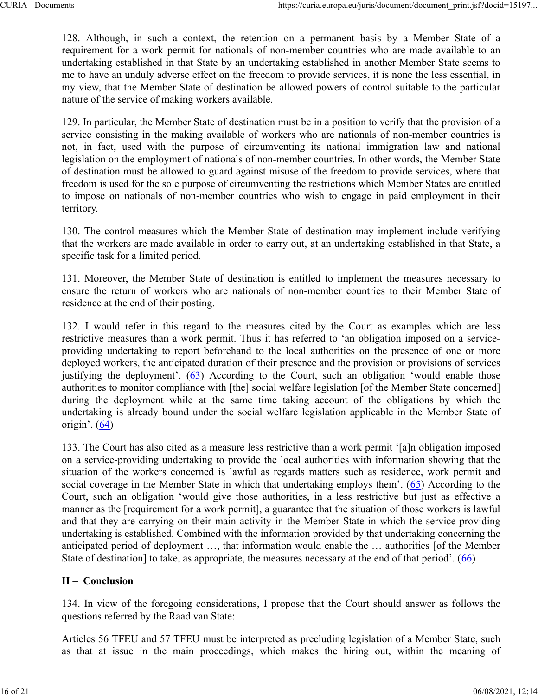128. Although, in such a context, the retention on a permanent basis by a Member State of a requirement for a work permit for nationals of non-member countries who are made available to an undertaking established in that State by an undertaking established in another Member State seems to me to have an unduly adverse effect on the freedom to provide services, it is none the less essential, in my view, that the Member State of destination be allowed powers of control suitable to the particular nature of the service of making workers available.

129. In particular, the Member State of destination must be in a position to verify that the provision of a service consisting in the making available of workers who are nationals of non-member countries is not, in fact, used with the purpose of circumventing its national immigration law and national legislation on the employment of nationals of non-member countries. In other words, the Member State of destination must be allowed to guard against misuse of the freedom to provide services, where that freedom is used for the sole purpose of circumventing the restrictions which Member States are entitled to impose on nationals of non-member countries who wish to engage in paid employment in their territory.

130. The control measures which the Member State of destination may implement include verifying that the workers are made available in order to carry out, at an undertaking established in that State, a specific task for a limited period.

131. Moreover, the Member State of destination is entitled to implement the measures necessary to ensure the return of workers who are nationals of non-member countries to their Member State of residence at the end of their posting.

132. I would refer in this regard to the measures cited by the Court as examples which are less restrictive measures than a work permit. Thus it has referred to 'an obligation imposed on a serviceproviding undertaking to report beforehand to the local authorities on the presence of one or more deployed workers, the anticipated duration of their presence and the provision or provisions of services justifying the deployment'. [\(63\)](https://curia.europa.eu/juris/document/document_print.jsf?docid=151973&text=&dir=&doclang=EN&part=1&occ=first&mode=req&pageIndex=1&cid=8221398#Footnote63) According to the Court, such an obligation 'would enable those authorities to monitor compliance with [the] social welfare legislation [of the Member State concerned] during the deployment while at the same time taking account of the obligations by which the undertaking is already bound under the social welfare legislation applicable in the Member State of origin'.  $(64)$  $(64)$ 

133. The Court has also cited as a measure less restrictive than a work permit '[a]n obligation imposed on a service-providing undertaking to provide the local authorities with information showing that the situation of the workers concerned is lawful as regards matters such as residence, work permit and social coverage in the Member State in which that undertaking employs them'. ([65\)](https://curia.europa.eu/juris/document/document_print.jsf?docid=151973&text=&dir=&doclang=EN&part=1&occ=first&mode=req&pageIndex=1&cid=8221398#Footnote65) According to the Court, such an obligation 'would give those authorities, in a less restrictive but just as effective a manner as the [requirement for a work permit], a guarantee that the situation of those workers is lawful and that they are carrying on their main activity in the Member State in which the service-providing undertaking is established. Combined with the information provided by that undertaking concerning the anticipated period of deployment …, that information would enable the … authorities [of the Member State of destination] to take, as appropriate, the measures necessary at the end of that period'. ([66\)](https://curia.europa.eu/juris/document/document_print.jsf?docid=151973&text=&dir=&doclang=EN&part=1&occ=first&mode=req&pageIndex=1&cid=8221398#Footnote66)

#### **II – Conclusion**

134. In view of the foregoing considerations, I propose that the Court should answer as follows the questions referred by the Raad van State:

Articles 56 TFEU and 57 TFEU must be interpreted as precluding legislation of a Member State, such as that at issue in the main proceedings, which makes the hiring out, within the meaning of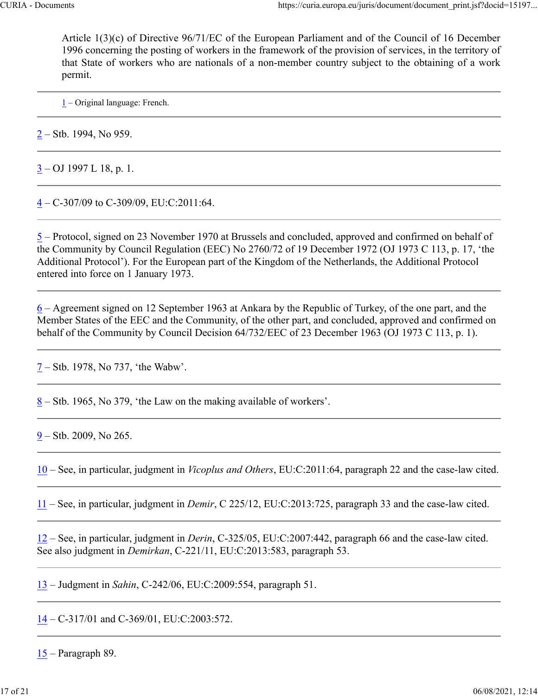Article 1(3)(c) of Directive 96/71/EC of the European Parliament and of the Council of 16 December 1996 concerning the posting of workers in the framework of the provision of services, in the territory of that State of workers who are nationals of a non-member country subject to the obtaining of a work permit.

[1](https://curia.europa.eu/juris/document/document_print.jsf?docid=151973&text=&dir=&doclang=EN&part=1&occ=first&mode=req&pageIndex=1&cid=8221398#Footref1) – Original language: French.

 $2 2 -$  Stb. 1994, No 959.

 $\frac{3}{2}$  $\frac{3}{2}$  $\frac{3}{2}$  – OJ 1997 L 18, p. 1.

 $\frac{4}{1}$  $\frac{4}{1}$  $\frac{4}{1}$  – C-307/09 to C-309/09, EU:C:2011:64.

[5](https://curia.europa.eu/juris/document/document_print.jsf?docid=151973&text=&dir=&doclang=EN&part=1&occ=first&mode=req&pageIndex=1&cid=8221398#Footref5) – Protocol, signed on 23 November 1970 at Brussels and concluded, approved and confirmed on behalf of the Community by Council Regulation (EEC) No 2760/72 of 19 December 1972 (OJ 1973 C 113, p. 17, 'the Additional Protocol'). For the European part of the Kingdom of the Netherlands, the Additional Protocol entered into force on 1 January 1973.

 $6 6 -$  Agreement signed on 12 September 1963 at Ankara by the Republic of Turkey, of the one part, and the Member States of the EEC and the Community, of the other part, and concluded, approved and confirmed on behalf of the Community by Council Decision 64/732/EEC of 23 December 1963 (OJ 1973 C 113, p. 1).

[7](https://curia.europa.eu/juris/document/document_print.jsf?docid=151973&text=&dir=&doclang=EN&part=1&occ=first&mode=req&pageIndex=1&cid=8221398#Footref7) – Stb. 1978, No 737, 'the Wabw'.

[8](https://curia.europa.eu/juris/document/document_print.jsf?docid=151973&text=&dir=&doclang=EN&part=1&occ=first&mode=req&pageIndex=1&cid=8221398#Footref8) – Stb. 1965, No 379, 'the Law on the making available of workers'.

[9](https://curia.europa.eu/juris/document/document_print.jsf?docid=151973&text=&dir=&doclang=EN&part=1&occ=first&mode=req&pageIndex=1&cid=8221398#Footref9) – Stb. 2009, No 265.

[10](https://curia.europa.eu/juris/document/document_print.jsf?docid=151973&text=&dir=&doclang=EN&part=1&occ=first&mode=req&pageIndex=1&cid=8221398#Footref10) – See, in particular, judgment in *Vicoplus and Others*, EU:C:2011:64, paragraph 22 and the case-law cited.

[11](https://curia.europa.eu/juris/document/document_print.jsf?docid=151973&text=&dir=&doclang=EN&part=1&occ=first&mode=req&pageIndex=1&cid=8221398#Footref11) – See, in particular, judgment in *Demir*, C 225/12, EU:C:2013:725, paragraph 33 and the case-law cited.

[12](https://curia.europa.eu/juris/document/document_print.jsf?docid=151973&text=&dir=&doclang=EN&part=1&occ=first&mode=req&pageIndex=1&cid=8221398#Footref12) – See, in particular, judgment in *Derin*, C‑325/05, EU:C:2007:442, paragraph 66 and the case-law cited. See also judgment in *Demirkan*, C-221/11, EU:C:2013:583, paragraph 53.

[13](https://curia.europa.eu/juris/document/document_print.jsf?docid=151973&text=&dir=&doclang=EN&part=1&occ=first&mode=req&pageIndex=1&cid=8221398#Footref13) – Judgment in *Sahin*, C‑242/06, EU:C:2009:554, paragraph 51.

 $14 - C$  $14 - C$ -317/01 and C-369/01, EU:C:2003:572.

[15](https://curia.europa.eu/juris/document/document_print.jsf?docid=151973&text=&dir=&doclang=EN&part=1&occ=first&mode=req&pageIndex=1&cid=8221398#Footref15) – Paragraph 89.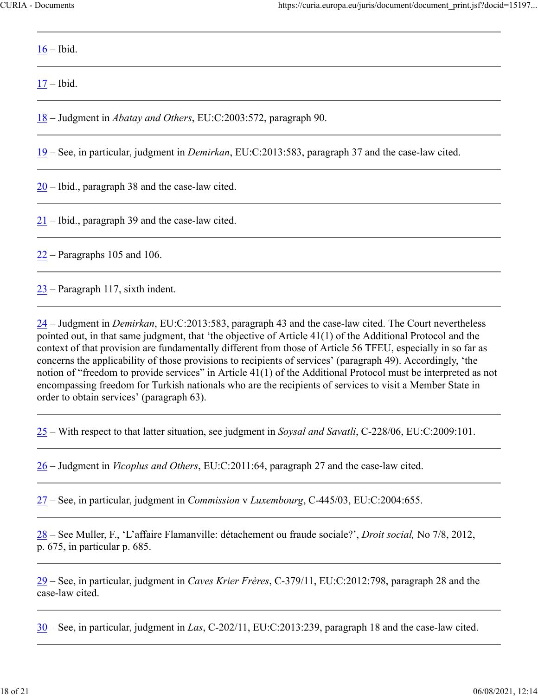[16](https://curia.europa.eu/juris/document/document_print.jsf?docid=151973&text=&dir=&doclang=EN&part=1&occ=first&mode=req&pageIndex=1&cid=8221398#Footref16) – Ibid.

 $17 17 -$  Ibid.

[18](https://curia.europa.eu/juris/document/document_print.jsf?docid=151973&text=&dir=&doclang=EN&part=1&occ=first&mode=req&pageIndex=1&cid=8221398#Footref18) – Judgment in *Abatay and Others*, EU:C:2003:572, paragraph 90.

[19](https://curia.europa.eu/juris/document/document_print.jsf?docid=151973&text=&dir=&doclang=EN&part=1&occ=first&mode=req&pageIndex=1&cid=8221398#Footref19) – See, in particular, judgment in *Demirkan*, EU:C:2013:583, paragraph 37 and the case-law cited.

[20](https://curia.europa.eu/juris/document/document_print.jsf?docid=151973&text=&dir=&doclang=EN&part=1&occ=first&mode=req&pageIndex=1&cid=8221398#Footref20) – Ibid., paragraph 38 and the case-law cited.

[21](https://curia.europa.eu/juris/document/document_print.jsf?docid=151973&text=&dir=&doclang=EN&part=1&occ=first&mode=req&pageIndex=1&cid=8221398#Footref21) – Ibid., paragraph 39 and the case-law cited.

[22](https://curia.europa.eu/juris/document/document_print.jsf?docid=151973&text=&dir=&doclang=EN&part=1&occ=first&mode=req&pageIndex=1&cid=8221398#Footref22) – Paragraphs 105 and 106.

[23](https://curia.europa.eu/juris/document/document_print.jsf?docid=151973&text=&dir=&doclang=EN&part=1&occ=first&mode=req&pageIndex=1&cid=8221398#Footref23) – Paragraph 117, sixth indent.

[24](https://curia.europa.eu/juris/document/document_print.jsf?docid=151973&text=&dir=&doclang=EN&part=1&occ=first&mode=req&pageIndex=1&cid=8221398#Footref24) – Judgment in *Demirkan*, EU:C:2013:583, paragraph 43 and the case-law cited. The Court nevertheless pointed out, in that same judgment, that 'the objective of Article 41(1) of the Additional Protocol and the context of that provision are fundamentally different from those of Article 56 TFEU, especially in so far as concerns the applicability of those provisions to recipients of services' (paragraph 49). Accordingly, 'the notion of "freedom to provide services" in Article 41(1) of the Additional Protocol must be interpreted as not encompassing freedom for Turkish nationals who are the recipients of services to visit a Member State in order to obtain services' (paragraph 63).

[25](https://curia.europa.eu/juris/document/document_print.jsf?docid=151973&text=&dir=&doclang=EN&part=1&occ=first&mode=req&pageIndex=1&cid=8221398#Footref25) – With respect to that latter situation, see judgment in *Soysal and Savatli*, C‑228/06, EU:C:2009:101.

[26](https://curia.europa.eu/juris/document/document_print.jsf?docid=151973&text=&dir=&doclang=EN&part=1&occ=first&mode=req&pageIndex=1&cid=8221398#Footref26) – Judgment in *Vicoplus and Others*, EU:C:2011:64, paragraph 27 and the case-law cited.

[27](https://curia.europa.eu/juris/document/document_print.jsf?docid=151973&text=&dir=&doclang=EN&part=1&occ=first&mode=req&pageIndex=1&cid=8221398#Footref27) – See, in particular, judgment in *Commission* v *Luxembourg*, C‑445/03, EU:C:2004:655.

[28](https://curia.europa.eu/juris/document/document_print.jsf?docid=151973&text=&dir=&doclang=EN&part=1&occ=first&mode=req&pageIndex=1&cid=8221398#Footref28) – See Muller, F., 'L'affaire Flamanville: détachement ou fraude sociale?', *Droit social,* No 7/8, 2012, p. 675, in particular p. 685.

[29](https://curia.europa.eu/juris/document/document_print.jsf?docid=151973&text=&dir=&doclang=EN&part=1&occ=first&mode=req&pageIndex=1&cid=8221398#Footref29) – See, in particular, judgment in *Caves Krier Frères*, C‑379/11, EU:C:2012:798, paragraph 28 and the case-law cited.

[30](https://curia.europa.eu/juris/document/document_print.jsf?docid=151973&text=&dir=&doclang=EN&part=1&occ=first&mode=req&pageIndex=1&cid=8221398#Footref30) – See, in particular, judgment in *Las*, C‑202/11, EU:C:2013:239, paragraph 18 and the case-law cited.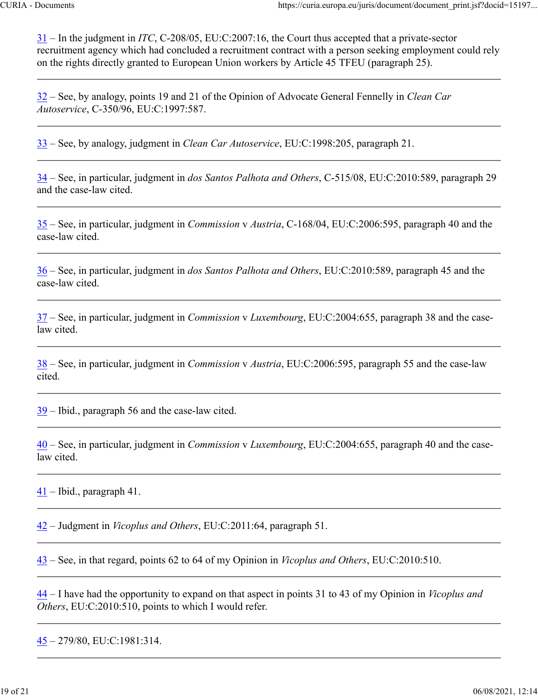[31](https://curia.europa.eu/juris/document/document_print.jsf?docid=151973&text=&dir=&doclang=EN&part=1&occ=first&mode=req&pageIndex=1&cid=8221398#Footref31) – In the judgment in *ITC*, C‑208/05, EU:C:2007:16, the Court thus accepted that a private-sector recruitment agency which had concluded a recruitment contract with a person seeking employment could rely on the rights directly granted to European Union workers by Article 45 TFEU (paragraph 25).

[32](https://curia.europa.eu/juris/document/document_print.jsf?docid=151973&text=&dir=&doclang=EN&part=1&occ=first&mode=req&pageIndex=1&cid=8221398#Footref32) – See, by analogy, points 19 and 21 of the Opinion of Advocate General Fennelly in *Clean Car Autoservice*, C‑350/96, EU:C:1997:587.

[33](https://curia.europa.eu/juris/document/document_print.jsf?docid=151973&text=&dir=&doclang=EN&part=1&occ=first&mode=req&pageIndex=1&cid=8221398#Footref33) – See, by analogy, judgment in *Clean Car Autoservice*, EU:C:1998:205, paragraph 21.

[34](https://curia.europa.eu/juris/document/document_print.jsf?docid=151973&text=&dir=&doclang=EN&part=1&occ=first&mode=req&pageIndex=1&cid=8221398#Footref34) – See, in particular, judgment in *dos Santos Palhota and Others*, C‑515/08, EU:C:2010:589, paragraph 29 and the case-law cited.

[35](https://curia.europa.eu/juris/document/document_print.jsf?docid=151973&text=&dir=&doclang=EN&part=1&occ=first&mode=req&pageIndex=1&cid=8221398#Footref35) – See, in particular, judgment in *Commission* v *Austria*, C‑168/04, EU:C:2006:595, paragraph 40 and the case-law cited.

[36](https://curia.europa.eu/juris/document/document_print.jsf?docid=151973&text=&dir=&doclang=EN&part=1&occ=first&mode=req&pageIndex=1&cid=8221398#Footref36) – See, in particular, judgment in *dos Santos Palhota and Others*, EU:C:2010:589, paragraph 45 and the case-law cited.

[37](https://curia.europa.eu/juris/document/document_print.jsf?docid=151973&text=&dir=&doclang=EN&part=1&occ=first&mode=req&pageIndex=1&cid=8221398#Footref37) – See, in particular, judgment in *Commission* v *Luxembourg*, EU:C:2004:655, paragraph 38 and the caselaw cited.

[38](https://curia.europa.eu/juris/document/document_print.jsf?docid=151973&text=&dir=&doclang=EN&part=1&occ=first&mode=req&pageIndex=1&cid=8221398#Footref38) – See, in particular, judgment in *Commission* v *Austria*, EU:C:2006:595, paragraph 55 and the case-law cited.

[39](https://curia.europa.eu/juris/document/document_print.jsf?docid=151973&text=&dir=&doclang=EN&part=1&occ=first&mode=req&pageIndex=1&cid=8221398#Footref39) – Ibid., paragraph 56 and the case-law cited.

[40](https://curia.europa.eu/juris/document/document_print.jsf?docid=151973&text=&dir=&doclang=EN&part=1&occ=first&mode=req&pageIndex=1&cid=8221398#Footref40) – See, in particular, judgment in *Commission* v *Luxembourg*, EU:C:2004:655, paragraph 40 and the caselaw cited.

 $\frac{41}{1}$  $\frac{41}{1}$  $\frac{41}{1}$  – Ibid., paragraph 41.

[42](https://curia.europa.eu/juris/document/document_print.jsf?docid=151973&text=&dir=&doclang=EN&part=1&occ=first&mode=req&pageIndex=1&cid=8221398#Footref42) – Judgment in *Vicoplus and Others*, EU:C:2011:64, paragraph 51.

[43](https://curia.europa.eu/juris/document/document_print.jsf?docid=151973&text=&dir=&doclang=EN&part=1&occ=first&mode=req&pageIndex=1&cid=8221398#Footref43) – See, in that regard, points 62 to 64 of my Opinion in *Vicoplus and Others*, EU:C:2010:510.

[44](https://curia.europa.eu/juris/document/document_print.jsf?docid=151973&text=&dir=&doclang=EN&part=1&occ=first&mode=req&pageIndex=1&cid=8221398#Footref44) – I have had the opportunity to expand on that aspect in points 31 to 43 of my Opinion in *Vicoplus and Others*, EU:C:2010:510, points to which I would refer.

[45](https://curia.europa.eu/juris/document/document_print.jsf?docid=151973&text=&dir=&doclang=EN&part=1&occ=first&mode=req&pageIndex=1&cid=8221398#Footref45) – 279/80, EU:C:1981:314.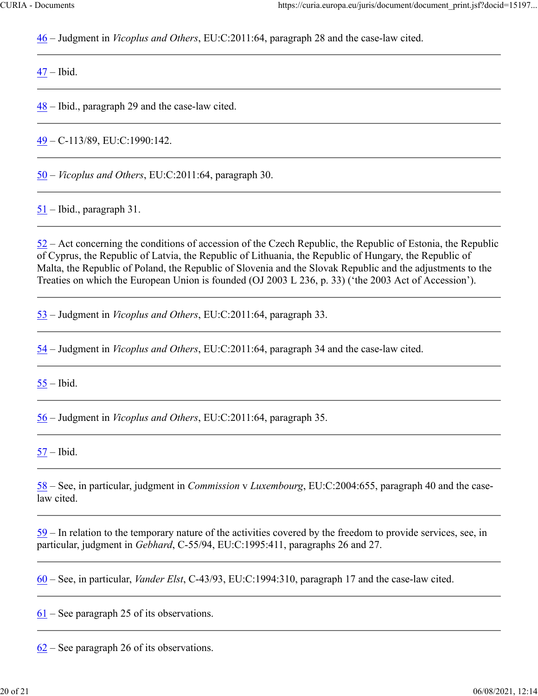– Judgment in *Vicoplus and Others*, EU:C:2011:64, paragraph 28 and the case-law cited.

 $\frac{47}{ }$  $\frac{47}{ }$  $\frac{47}{ }$  – Ibid.

– Ibid., paragraph 29 and the case-law cited.

– C‑113/89, EU:C:1990:142.

– *Vicoplus and Others*, EU:C:2011:64, paragraph 30.

– Ibid., paragraph 31.

 – Act concerning the conditions of accession of the Czech Republic, the Republic of Estonia, the Republic of Cyprus, the Republic of Latvia, the Republic of Lithuania, the Republic of Hungary, the Republic of Malta, the Republic of Poland, the Republic of Slovenia and the Slovak Republic and the adjustments to the Treaties on which the European Union is founded (OJ 2003 L 236, p. 33) ('the 2003 Act of Accession').

– Judgment in *Vicoplus and Others*, EU:C:2011:64, paragraph 33.

– Judgment in *Vicoplus and Others*, EU:C:2011:64, paragraph 34 and the case-law cited.

– Ibid.

– Judgment in *Vicoplus and Others*, EU:C:2011:64, paragraph 35.

– Ibid.

 – See, in particular, judgment in *Commission* v *Luxembourg*, EU:C:2004:655, paragraph 40 and the caselaw cited.

 – In relation to the temporary nature of the activities covered by the freedom to provide services, see, in particular, judgment in *Gebhard*, C-55/94, EU:C:1995:411, paragraphs 26 and 27.

– See, in particular, *Vander Elst*, C‑43/93, EU:C:1994:310, paragraph 17 and the case-law cited.

– See paragraph 25 of its observations.

– See paragraph 26 of its observations.